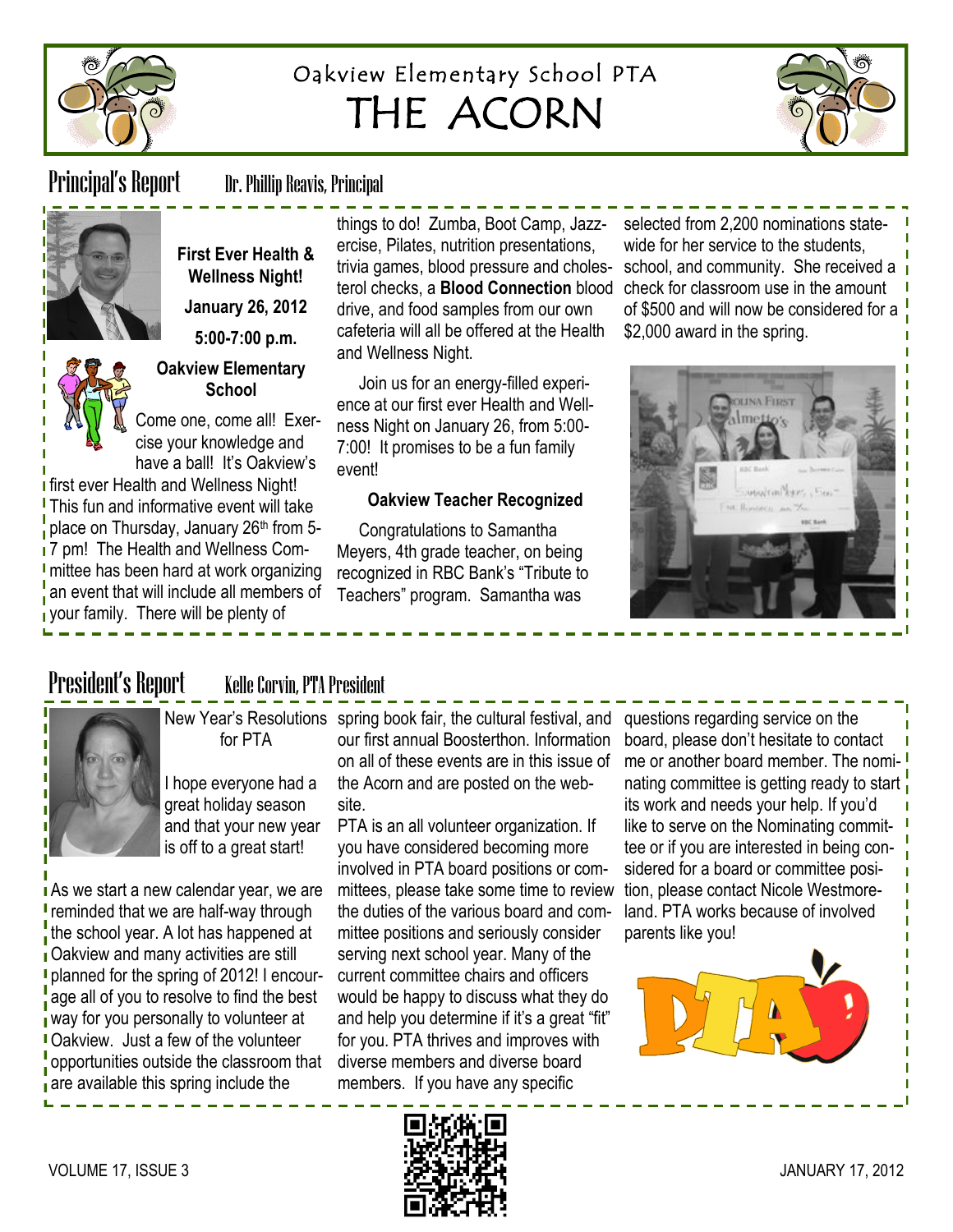

# Oakview Elementary School PTA THE ACORN



Principal's Report Dr. Phillip Reavis, Principal



**First Ever Health & Wellness Night! January 26, 2012**

**5:00-7:00 p.m.**

### **Oakview Elementary School**

Come one, come all! Exercise your knowledge and have a ball! It's Oakview's

**I** first ever Health and Wellness Night! **This fun and informative event will take** place on Thursday, January 26<sup>th</sup> from 5-17 pm! The Health and Wellness Com-I mittee has been hard at work organizing an event that will include all members of your family. There will be plenty of

**As we start a new calendar year, we are r** reminded that we are half-way through the school year. A lot has happened at **Oakview and many activities are still planned for the spring of 2012! I encour**age all of you to resolve to find the best way for you personally to volunteer at Oakview. Just a few of the volunteer poportunities outside the classroom that are available this spring include the

things to do! Zumba, Boot Camp, Jazzercise, Pilates, nutrition presentations, trivia games, blood pressure and cholesterol checks, a **Blood Connection** blood drive, and food samples from our own cafeteria will all be offered at the Health and Wellness Night.

Join us for an energy-filled experience at our first ever Health and Wellness Night on January 26, from 5:00- 7:00! It promises to be a fun family event!

### **Oakview Teacher Recognized**

Congratulations to Samantha Meyers, 4th grade teacher, on being recognized in RBC Bank's "Tribute to Teachers‖ program. Samantha was

selected from 2,200 nominations statewide for her service to the students, school, and community. She received a check for classroom use in the amount of \$500 and will now be considered for a \$2,000 award in the spring.



## President's Report Kelle Corvin, PTA President



for PTA

New Year's Resolutions spring book fair, the cultural festival, and our first annual Boosterthon. Information on all of these events are in this issue of the Acorn and are posted on the website.

> PTA is an all volunteer organization. If you have considered becoming more involved in PTA board positions or committees, please take some time to review the duties of the various board and committee positions and seriously consider serving next school year. Many of the current committee chairs and officers would be happy to discuss what they do and help you determine if it's a great "fit" for you. PTA thrives and improves with diverse members and diverse board members. If you have any specific

questions regarding service on the board, please don't hesitate to contact me or another board member. The nominating committee is getting ready to start. its work and needs your help. If you'd like to serve on the Nominating committee or if you are interested in being considered for a board or committee position, please contact Nicole Westmoreland. PTA works because of involved parents like you!



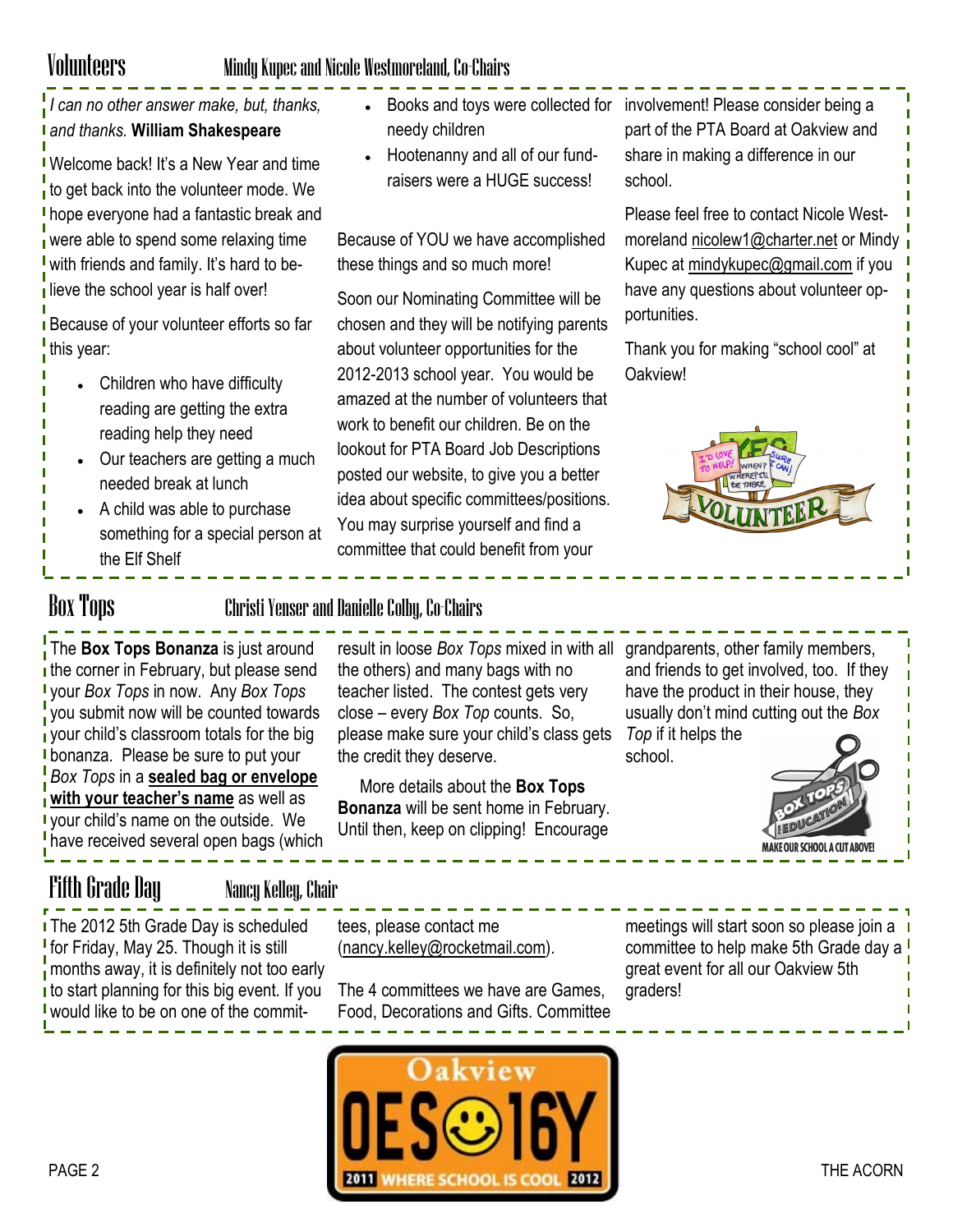## Volunteers Mindy Kupec and Nicole Westmoreland, Co-Chairs

*I can no other answer make, but, thanks, and thanks.* **William Shakespeare**

Welcome back! It's a New Year and time to get back into the volunteer mode. We **I** hope everyone had a fantastic break and were able to spend some relaxing time with friends and family. It's hard to believe the school year is half over!

**Because of your volunteer efforts so far** this year:

- Children who have difficulty reading are getting the extra reading help they need
- Our teachers are getting a much needed break at lunch
- A child was able to purchase something for a special person at the Elf Shelf
- needy children
- Hootenanny and all of our fundraisers were a HUGE success!

Because of YOU we have accomplished these things and so much more!

Soon our Nominating Committee will be chosen and they will be notifying parents about volunteer opportunities for the 2012-2013 school year. You would be amazed at the number of volunteers that work to benefit our children. Be on the lookout for PTA Board Job Descriptions posted our website, to give you a better idea about specific committees/positions. You may surprise yourself and find a committee that could benefit from your

Books and toys were collected for involvement! Please consider being a part of the PTA Board at Oakview and share in making a difference in our school.

> Please feel free to contact Nicole Westmoreland [nicolew1@charter.net](mailto:nicolew1@charter.net) or Mindy Kupec at [mindykupec@gmail.com](mailto:mindykupec@gmail.com) if you have any questions about volunteer opportunities.

Thank you for making "school cool" at Oakview!



Box Tops Christi Yenser and Danielle Colby, Co-Chairs

The **Box Tops Bonanza** is just around the corner in February, but please send your *Box Tops* in now. Any *Box Tops* vou submit now will be counted towards your child's classroom totals for the big **I** bonanza. Please be sure to put your *Box Tops* in a **sealed bag or envelope with your teacher's name** as well as your child's name on the outside. We have received several open bags (which

result in loose *Box Tops* mixed in with all grandparents, other family members, the others) and many bags with no teacher listed. The contest gets very close – every *Box Top* counts. So, please make sure your child's class gets the credit they deserve.

More details about the **Box Tops Bonanza** will be sent home in February. Until then, keep on clipping! Encourage

and friends to get involved, too. If they have the product in their house, they usually don't mind cutting out the *Box* 

*Top* if it helps the school.



## Fifth Grade Day Nancy Kelley, Chair

**I** The 2012 5th Grade Day is scheduled for Friday, May 25. Though it is still months away, it is definitely not too early I to start planning for this big event. If you would like to be on one of the commit-

tees, please contact me [\(nancy.kelley@rocketmail.com\).](mailto:nancy.kelley@rocketmail.com)

The 4 committees we have are Games, Food, Decorations and Gifts. Committee

meetings will start soon so please join a committee to help make 5th Grade day a ! great event for all our Oakview 5th graders!

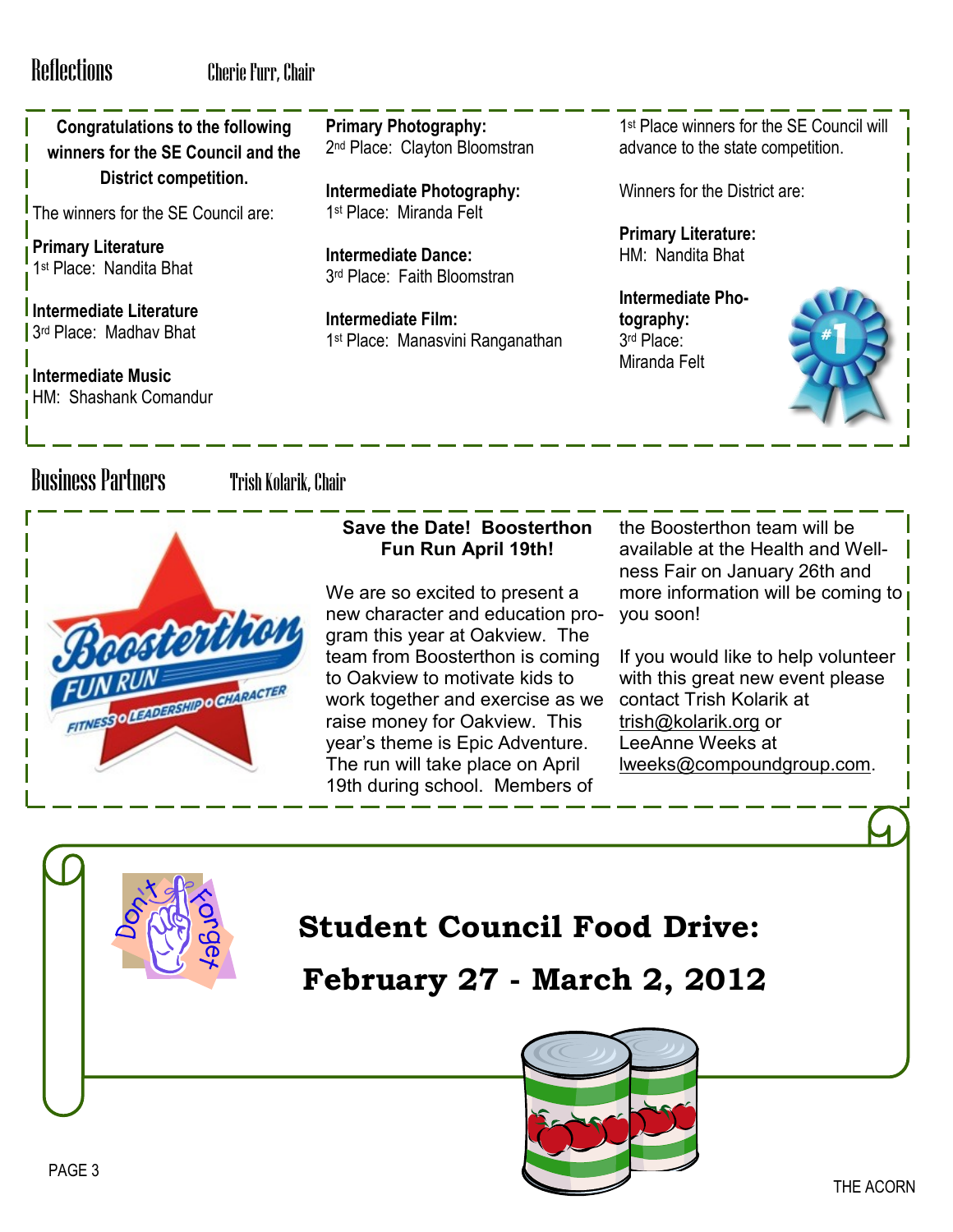**Congratulations to the following winners for the SE Council and the District competition.**

The winners for the SE Council are:

**Primary Literature** 1 st Place: Nandita Bhat

**Intermediate Literature** 3 rd Place: Madhav Bhat

**Intermediate Music** HM: Shashank Comandur **Primary Photography:** 2<sup>nd</sup> Place: Clayton Bloomstran

**Intermediate Photography:** 1 st Place: Miranda Felt

**Intermediate Dance:** 3 rd Place: Faith Bloomstran

**Intermediate Film:** 1 st Place: Manasvini Ranganathan

1 st Place winners for the SE Council will advance to the state competition.

Winners for the District are:

**Primary Literature:** HM: Nandita Bhat

**Intermediate Photography:** 3 rd Place: Miranda Felt



## Business Partners Trish Kolarik, Chair



## **Save the Date! Boosterthon Fun Run April 19th!**

We are so excited to present a new character and education program this year at Oakview. The team from Boosterthon is coming to Oakview to motivate kids to work together and exercise as we raise money for Oakview. This year's theme is Epic Adventure. The run will take place on April 19th during school. Members of

the Boosterthon team will be available at the Health and Wellness Fair on January 26th and more information will be coming to you soon!

If you would like to help volunteer with this great new event please contact Trish Kolarik at [trish@kolarik.org](mailto:trish@kolarik.org) or LeeAnne Weeks at [lweeks@compoundgroup.com.](mailto:lweeks@compoundgroup.com)

# **Student Council Food Drive:**

**February 27 - March 2, 2012**